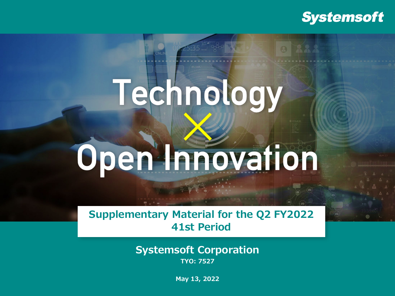### **Systemsoft**

# Technology Open Innovation

**Supplementary Material for the Q2 FY2022 41st Period**

> **Systemsoft Corporation TYO: 7527**

> > **May 13, 2022**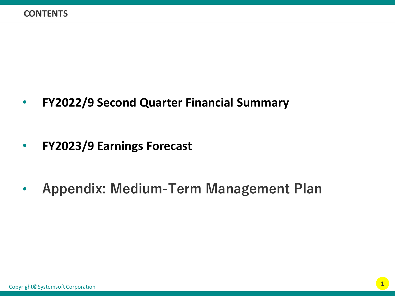• **FY2022/9 Second Quarter Financial Summary**

- **FY2023/9 Earnings Forecast**
- **Appendix: Medium-Term Management Plan**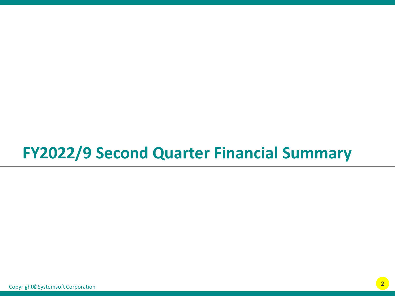# **FY2022/9 Second Quarter Financial Summary**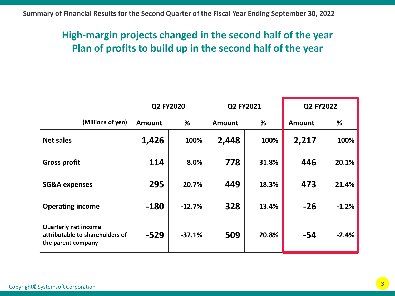#### **High-margin projects changed in the second half of the year Plan of profits to build up in the second half of the year**

|                                                                                      | Q2 FY2020     |          | Q2 FY2021     |       | Q2 FY2022     |         |
|--------------------------------------------------------------------------------------|---------------|----------|---------------|-------|---------------|---------|
| (Millions of yen)                                                                    | <b>Amount</b> | %        | <b>Amount</b> | %     | <b>Amount</b> | %       |
| <b>Net sales</b>                                                                     | 1,426         | 100%     | 2,448         | 100%  | 2,217         | 100%    |
| <b>Gross profit</b>                                                                  | 114           | 8.0%     | 778           | 31.8% | 446           | 20.1%   |
| <b>SG&amp;A expenses</b>                                                             | 295           | 20.7%    | 449           | 18.3% | 473           | 21.4%   |
| <b>Operating income</b>                                                              | $-180$        | $-12.7%$ | 328           | 13.4% | $-26$         | $-1.2%$ |
| <b>Quarterly net income</b><br>attributable to shareholders of<br>the parent company | $-529$        | $-37.1%$ | 509           | 20.8% | $-54$         | $-2.4%$ |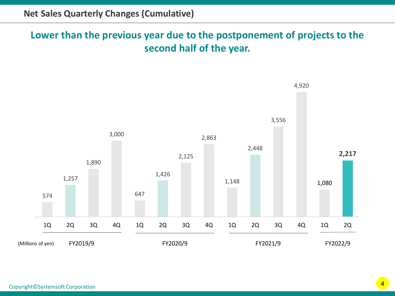#### **Lower than the previous year due to the postponement of projects to the second half of the year.**

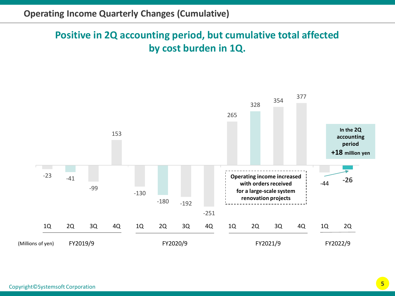### **Positive in 2Q accounting period, but cumulative total affected by cost burden in 1Q.**

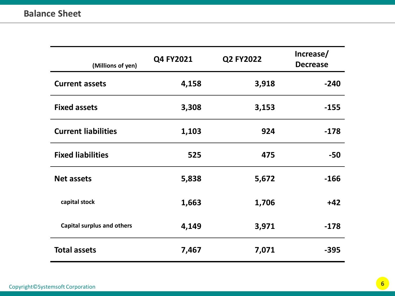| (Millions of yen)                 | Q4 FY2021 | Q2 FY2022 | Increase/<br><b>Decrease</b> |
|-----------------------------------|-----------|-----------|------------------------------|
| <b>Current assets</b>             | 4,158     | 3,918     | $-240$                       |
| <b>Fixed assets</b>               | 3,308     | 3,153     | $-155$                       |
| <b>Current liabilities</b>        | 1,103     | 924       | $-178$                       |
| <b>Fixed liabilities</b>          | 525       | 475       | $-50$                        |
| <b>Net assets</b>                 | 5,838     | 5,672     | $-166$                       |
| capital stock                     | 1,663     | 1,706     | $+42$                        |
| <b>Capital surplus and others</b> | 4,149     | 3,971     | $-178$                       |
| <b>Total assets</b>               | 7,467     | 7,071     | -395                         |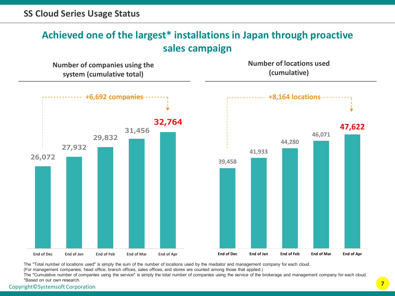#### **Achieved one of the largest\* installations in Japan through proactive sales campaign**

**Number of companies using the system (cumulative total)**

**Number of locations used (cumulative)**



The "Total number of locations used" is simply the sum of the number of locations used by the mediator and management company for each cloud.

(For management companies, head office, branch offices, sales offices, and stores are counted among those that applied.)

**7** Copyright©Systemsoft Corporation The "Cumulative number of companies using the service" is simply the total number of companies using the service of the brokerage and management company for each cloud. \*Based on our own research.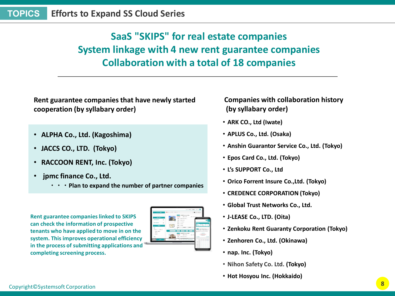### **SaaS "SKIPS" for real estate companies System linkage with 4 new rent guarantee companies Collaboration with a total of 18 companies**

**Rent guarantee companies that have newly started cooperation (by syllabary order)**

- **ALPHA Co., Ltd. (Kagoshima)**
- **JACCS CO., LTD. (Tokyo)**
- **RACCOON RENT, Inc. (Tokyo)**
- **jpmc finance Co., Ltd.**
	- **・・・Plan to expand the number of partner companies**

**Rent guarantee companies linked to SKIPS can check the information of prospective tenants who have applied to move in on the system. This improves operational efficiency in the process of submitting applications and completing screening process.**



**Companies with collaboration history (by syllabary order)**

- **ARK CO., Ltd (Iwate)**
- **APLUS Co., Ltd. (Osaka)**
- **Anshin Guarantor Service Co., Ltd. (Tokyo)**
- **Epos Card Co., Ltd. (Tokyo)**
- **L's SUPPORT Co., Ltd**
- **Orico Forrent Insure Co.,Ltd. (Tokyo)**
- **CREDENCE CORPORATION (Tokyo)**
- **Global Trust Networks Co., Ltd.**
- **J-LEASE Co., LTD. (Oita)**
- **Zenkoku Rent Guaranty Corporation (Tokyo)**
- **Zenhoren Co., Ltd. (Okinawa)**
- **nap. Inc. (Tokyo)**
- **Nihon Safety Co. Ltd. (Tokyo)**
- **Hot Hosyou Inc. (Hokkaido)**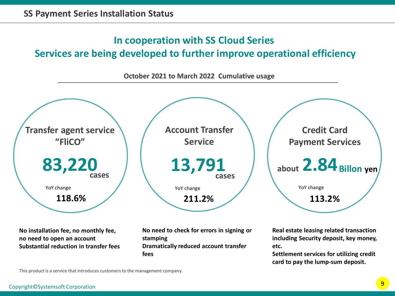#### **In cooperation with SS Cloud Series**

#### **Services are being developed to further improve operational efficiency**



**No installation fee, no monthly fee, no need to open an account Substantial reduction in transfer fees** **No need to check for errors in signing or stamping Dramatically reduced account transfer fees**

**Real estate leasing related transaction including Security deposit, key money, etc.** 

**Settlement services for utilizing credit card to pay the lump-sum deposit.**

This product is a service that introduces customers to the management company.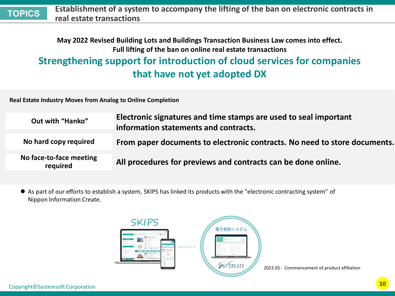**Establishment of a system to accompany the lifting of the ban on electronic contracts in real estate transactions TOPICS**

#### **May 2022 Revised Building Lots and Buildings Transaction Business Law comes into effect. Full lifting of the ban on online real estate transactions Strengthening support for introduction of cloud services for companies that have not yet adopted DX**

**Real Estate Industry Moves from Analog to Online Completion**

| Out with "Hanko"                    | Electronic signatures and time stamps are used to seal important<br>information statements and contracts. |
|-------------------------------------|-----------------------------------------------------------------------------------------------------------|
| No hard copy required               | From paper documents to electronic contracts. No need to store documents.                                 |
| No face-to-face meeting<br>required | All procedures for previews and contracts can be done online.                                             |

 As part of our efforts to establish a system, SKIPS has linked its products with the "electronic contracting system" of Nippon Information Create.

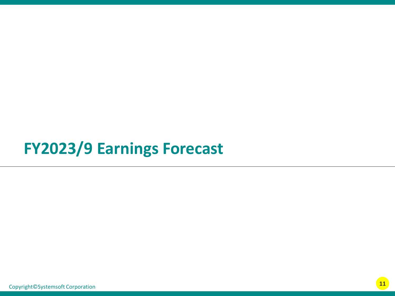### **FY2023/9 Earnings Forecast**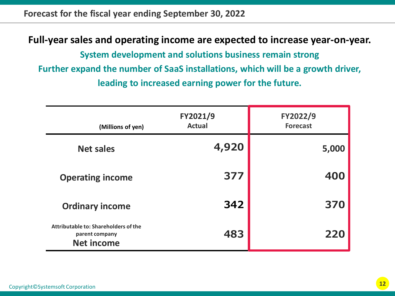**Forecast for the fiscal year ending September 30, 2022**

**Full-year sales and operating income are expected to increase year-on-year.**

**System development and solutions business remain strong Further expand the number of SaaS installations, which will be a growth driver, leading to increased earning power for the future.**

| (Millions of yen)                                                           | FY2021/9<br><b>Actual</b> | FY2022/9<br><b>Forecast</b> |
|-----------------------------------------------------------------------------|---------------------------|-----------------------------|
| <b>Net sales</b>                                                            | 4,920                     | 5,000                       |
| <b>Operating income</b>                                                     | 377                       | 400                         |
| <b>Ordinary income</b>                                                      | 342                       | 370                         |
| Attributable to: Shareholders of the<br>parent company<br><b>Net income</b> | 483                       | 220                         |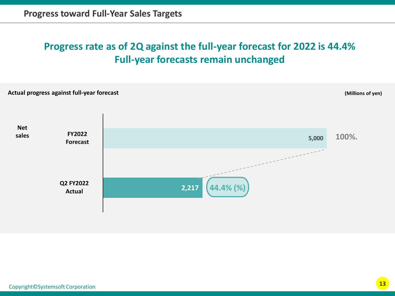### **Progress rate as of 2Q against the full-year forecast for 2022 is 44.4% Full-year forecasts remain unchanged**

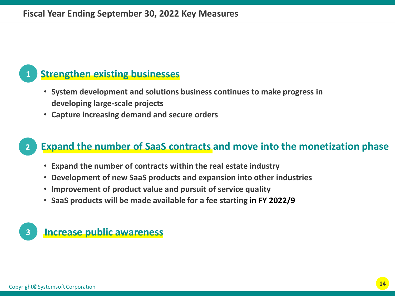#### **1 Strengthen existing businesses**

- **System development and solutions business continues to make progress in developing large-scale projects**
- **Capture increasing demand and secure orders**

#### **2 Expand the number of SaaS contracts and move into the monetization phase**

- **Expand the number of contracts within the real estate industry**
- **Development of new SaaS products and expansion into other industries**
- **Improvement of product value and pursuit of service quality**
- **SaaS products will be made available for a fee starting in FY 2022/9**

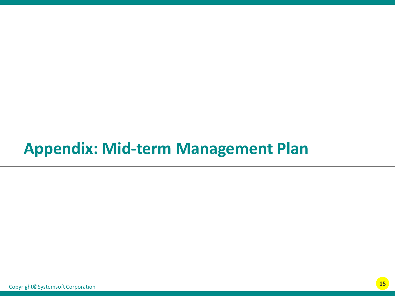### **Appendix: Mid-term Management Plan**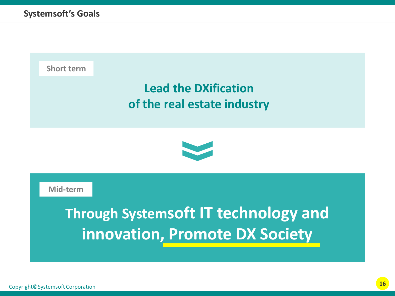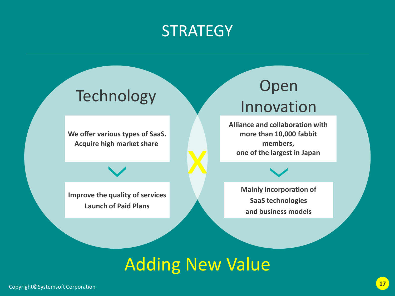### **STRATEGY**

**We offer various types of SaaS. Acquire high market share**

## Technology Open Innovation

**Alliance and collaboration with more than 10,000 fabbit members, one of the largest in Japan**

**Improve the quality of services Launch of Paid Plans**

**Mainly incorporation of SaaS technologies and business models**

### Adding New Value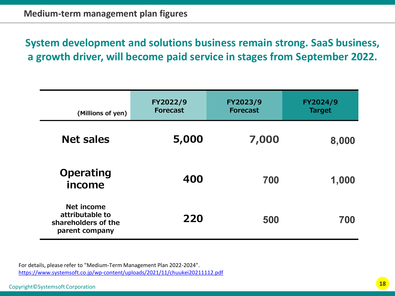**System development and solutions business remain strong. SaaS business, a growth driver, will become paid service in stages from September 2022.**

| (Millions of yen)                                                      | FY2022/9<br><b>Forecast</b> | FY2023/9<br><b>Forecast</b> | FY2024/9<br><b>Target</b> |
|------------------------------------------------------------------------|-----------------------------|-----------------------------|---------------------------|
| <b>Net sales</b>                                                       | 5,000                       | 7,000                       | 8,000                     |
| <b>Operating</b><br>income                                             | 400                         | 700                         | 1,000                     |
| Net income<br>attributable to<br>shareholders of the<br>parent company | 220                         | 500                         | 700                       |

For details, please refer to "Medium-Term Management Plan 2022-2024". <https://www.systemsoft.co.jp/wp-content/uploads/2021/11/chuukei20211112.pdf>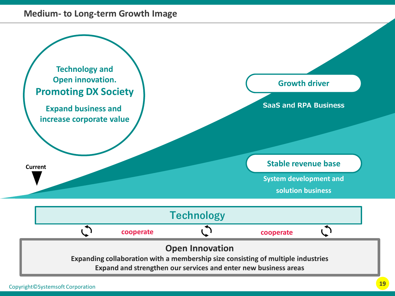#### **Medium- to Long-term Growth Image**